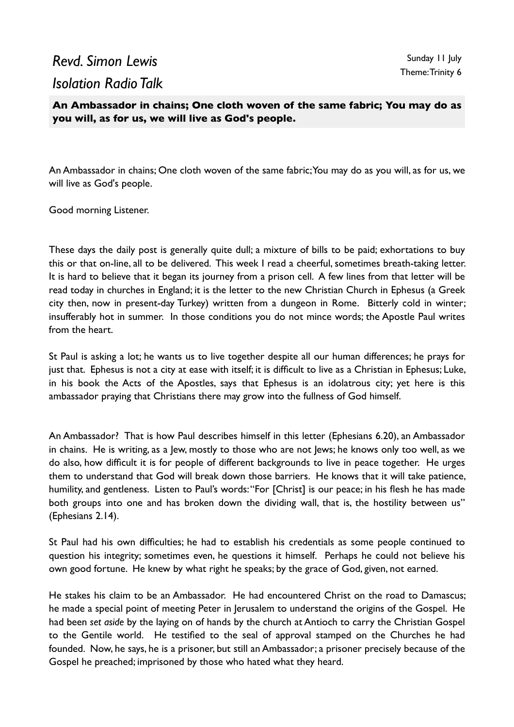## *Revd. Simon Lewis Isolation Radio Talk*

**An Ambassador in chains; One cloth woven of the same fabric; You may do as you will, as for us, we will live as God's people.**

An Ambassador in chains; One cloth woven of the same fabric; You may do as you will, as for us, we will live as God's people.

Good morning Listener.

These days the daily post is generally quite dull; a mixture of bills to be paid; exhortations to buy this or that on-line, all to be delivered. This week I read a cheerful, sometimes breath-taking letter. It is hard to believe that it began its journey from a prison cell. A few lines from that letter will be read today in churches in England; it is the letter to the new Christian Church in Ephesus (a Greek city then, now in present-day Turkey) written from a dungeon in Rome. Bitterly cold in winter; insufferably hot in summer. In those conditions you do not mince words; the Apostle Paul writes from the heart.

St Paul is asking a lot; he wants us to live together despite all our human differences; he prays for just that. Ephesus is not a city at ease with itself; it is difficult to live as a Christian in Ephesus; Luke, in his book the Acts of the Apostles, says that Ephesus is an idolatrous city; yet here is this ambassador praying that Christians there may grow into the fullness of God himself.

An Ambassador? That is how Paul describes himself in this letter (Ephesians 6.20), an Ambassador in chains. He is writing, as a Jew, mostly to those who are not Jews; he knows only too well, as we do also, how difficult it is for people of different backgrounds to live in peace together. He urges them to understand that God will break down those barriers. He knows that it will take patience, humility, and gentleness. Listen to Paul's words: "For [Christ] is our peace; in his flesh he has made both groups into one and has broken down the dividing wall, that is, the hostility between us" (Ephesians 2.14).

St Paul had his own difficulties; he had to establish his credentials as some people continued to question his integrity; sometimes even, he questions it himself. Perhaps he could not believe his own good fortune. He knew by what right he speaks; by the grace of God, given, not earned.

He stakes his claim to be an Ambassador. He had encountered Christ on the road to Damascus; he made a special point of meeting Peter in Jerusalem to understand the origins of the Gospel. He had been *set aside* by the laying on of hands by the church at Antioch to carry the Christian Gospel to the Gentile world. He testified to the seal of approval stamped on the Churches he had founded. Now, he says, he is a prisoner, but still an Ambassador; a prisoner precisely because of the Gospel he preached; imprisoned by those who hated what they heard.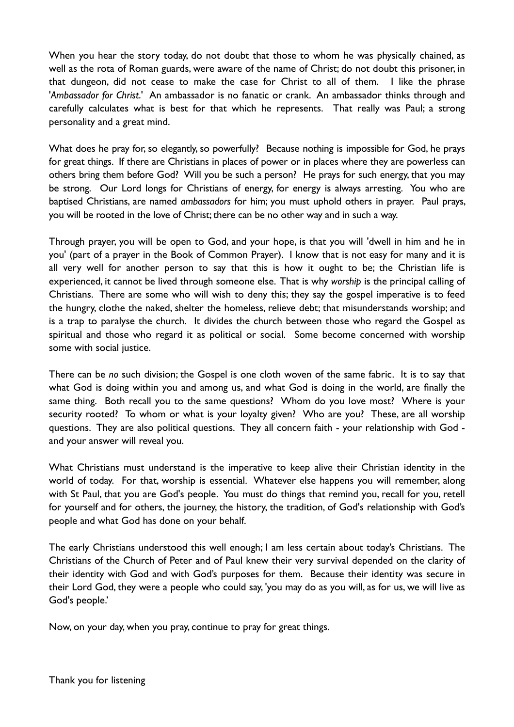When you hear the story today, do not doubt that those to whom he was physically chained, as well as the rota of Roman guards, were aware of the name of Christ; do not doubt this prisoner, in that dungeon, did not cease to make the case for Christ to all of them. I like the phrase '*Ambassador for Christ*.' An ambassador is no fanatic or crank. An ambassador thinks through and carefully calculates what is best for that which he represents. That really was Paul; a strong personality and a great mind.

What does he pray for, so elegantly, so powerfully? Because nothing is impossible for God, he prays for great things. If there are Christians in places of power or in places where they are powerless can others bring them before God? Will you be such a person? He prays for such energy, that you may be strong. Our Lord longs for Christians of energy, for energy is always arresting. You who are baptised Christians, are named *ambassadors* for him; you must uphold others in prayer. Paul prays, you will be rooted in the love of Christ; there can be no other way and in such a way.

Through prayer, you will be open to God, and your hope, is that you will 'dwell in him and he in you' (part of a prayer in the Book of Common Prayer). I know that is not easy for many and it is all very well for another person to say that this is how it ought to be; the Christian life is experienced, it cannot be lived through someone else. That is why *worship* is the principal calling of Christians. There are some who will wish to deny this; they say the gospel imperative is to feed the hungry, clothe the naked, shelter the homeless, relieve debt; that misunderstands worship; and is a trap to paralyse the church. It divides the church between those who regard the Gospel as spiritual and those who regard it as political or social. Some become concerned with worship some with social justice.

There can be *no* such division; the Gospel is one cloth woven of the same fabric. It is to say that what God is doing within you and among us, and what God is doing in the world, are finally the same thing. Both recall you to the same questions? Whom do you love most? Where is your security rooted? To whom or what is your loyalty given? Who are you? These, are all worship questions. They are also political questions. They all concern faith - your relationship with God and your answer will reveal you.

What Christians must understand is the imperative to keep alive their Christian identity in the world of today. For that, worship is essential. Whatever else happens you will remember, along with St Paul, that you are God's people. You must do things that remind you, recall for you, retell for yourself and for others, the journey, the history, the tradition, of God's relationship with God's people and what God has done on your behalf.

The early Christians understood this well enough; I am less certain about today's Christians. The Christians of the Church of Peter and of Paul knew their very survival depended on the clarity of their identity with God and with God's purposes for them. Because their identity was secure in their Lord God, they were a people who could say, 'you may do as you will, as for us, we will live as God's people.'

Now, on your day, when you pray, continue to pray for great things.